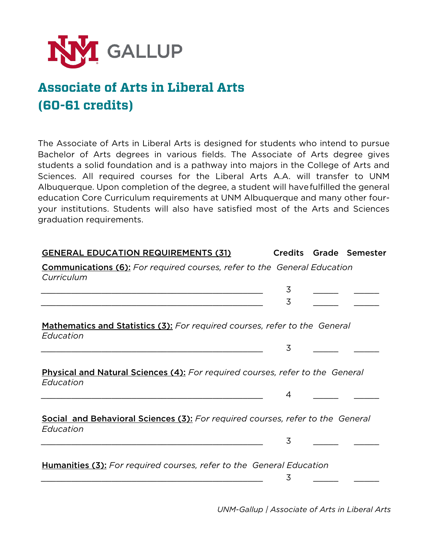

## **Associate of Arts in Liberal Arts (60-61 credits)**

The Associate of Arts in Liberal Arts is designed for students who intend to pursue Bachelor of Arts degrees in various fields. The Associate of Arts degree gives students a solid foundation and is a pathway into majors in the College of Arts and Sciences. All required courses for the Liberal Arts A.A. will transfer to UNM Albuquerque. Upon completion of the degree, a student will havefulfilled the general education Core Curriculum requirements at UNM Albuquerque and many other fouryour institutions. Students will also have satisfied most of the Arts and Sciences graduation requirements.

| <b>GENERAL EDUCATION REQUIREMENTS (31)</b>                                                         |   | Credits Grade Semester |
|----------------------------------------------------------------------------------------------------|---|------------------------|
| <b>Communications (6):</b> For required courses, refer to the General Education<br>Curriculum      |   |                        |
|                                                                                                    | 3 |                        |
|                                                                                                    | 3 |                        |
| <b>Mathematics and Statistics (3):</b> For required courses, refer to the General<br>Education     |   |                        |
|                                                                                                    | 3 |                        |
|                                                                                                    |   |                        |
| <b>Physical and Natural Sciences (4):</b> For required courses, refer to the General<br>Education  |   |                        |
|                                                                                                    | 4 |                        |
|                                                                                                    |   |                        |
| <b>Social and Behavioral Sciences (3):</b> For required courses, refer to the General<br>Education |   |                        |
|                                                                                                    | 3 |                        |
|                                                                                                    |   |                        |
| <b>Humanities (3):</b> For required courses, refer to the General Education                        |   |                        |
|                                                                                                    | 3 |                        |
|                                                                                                    |   |                        |

*UNM-Gallup | Associate of Arts in Liberal Arts*